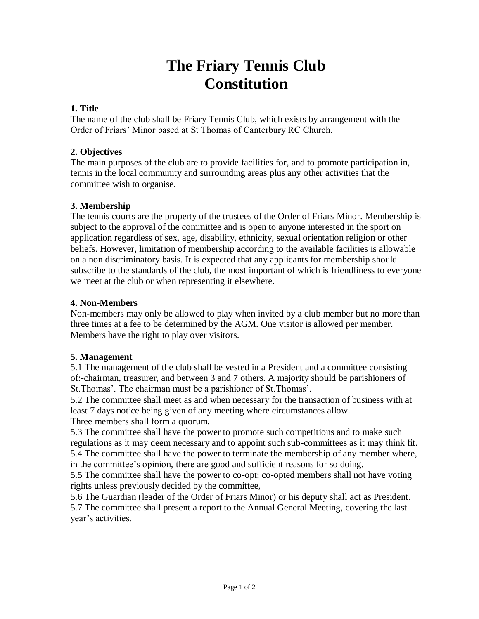# **The Friary Tennis Club Constitution**

# **1. Title**

The name of the club shall be Friary Tennis Club, which exists by arrangement with the Order of Friars' Minor based at St Thomas of Canterbury RC Church.

# **2. Objectives**

The main purposes of the club are to provide facilities for, and to promote participation in, tennis in the local community and surrounding areas plus any other activities that the committee wish to organise.

# **3. Membership**

The tennis courts are the property of the trustees of the Order of Friars Minor. Membership is subject to the approval of the committee and is open to anyone interested in the sport on application regardless of sex, age, disability, ethnicity, sexual orientation religion or other beliefs. However, limitation of membership according to the available facilities is allowable on a non discriminatory basis. It is expected that any applicants for membership should subscribe to the standards of the club, the most important of which is friendliness to everyone we meet at the club or when representing it elsewhere.

# **4. Non-Members**

Non-members may only be allowed to play when invited by a club member but no more than three times at a fee to be determined by the AGM. One visitor is allowed per member. Members have the right to play over visitors.

#### **5. Management**

5.1 The management of the club shall be vested in a President and a committee consisting of:-chairman, treasurer, and between 3 and 7 others. A majority should be parishioners of St.Thomas'. The chairman must be a parishioner of St.Thomas'.

5.2 The committee shall meet as and when necessary for the transaction of business with at least 7 days notice being given of any meeting where circumstances allow. Three members shall form a quorum.

5.3 The committee shall have the power to promote such competitions and to make such regulations as it may deem necessary and to appoint such sub-committees as it may think fit. 5.4 The committee shall have the power to terminate the membership of any member where, in the committee's opinion, there are good and sufficient reasons for so doing.

5.5 The committee shall have the power to co-opt: co-opted members shall not have voting rights unless previously decided by the committee,

5.6 The Guardian (leader of the Order of Friars Minor) or his deputy shall act as President. 5.7 The committee shall present a report to the Annual General Meeting, covering the last year's activities.